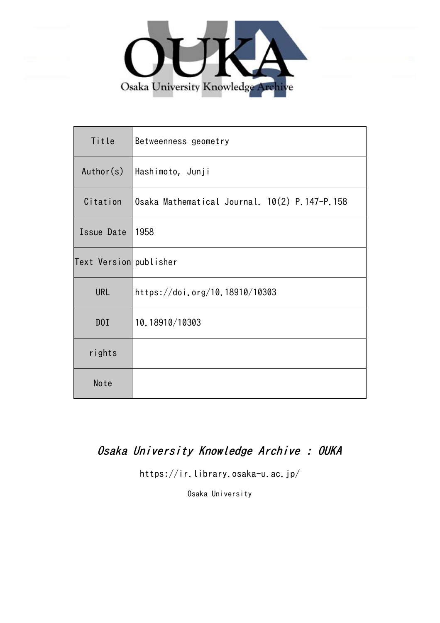

| Title                  | Betweenness geometry                          |
|------------------------|-----------------------------------------------|
| Author(s)              | Hashimoto, Junji                              |
| Citation               | Osaka Mathematical Journal. 10(2) P.147-P.158 |
| Issue Date             | 1958                                          |
| Text Version publisher |                                               |
| <b>URL</b>             | https://doi.org/10.18910/10303                |
| D0I                    | 10.18910/10303                                |
| rights                 |                                               |
| Note                   |                                               |

# Osaka University Knowledge Archive : OUKA

https://ir.library.osaka-u.ac.jp/

Osaka University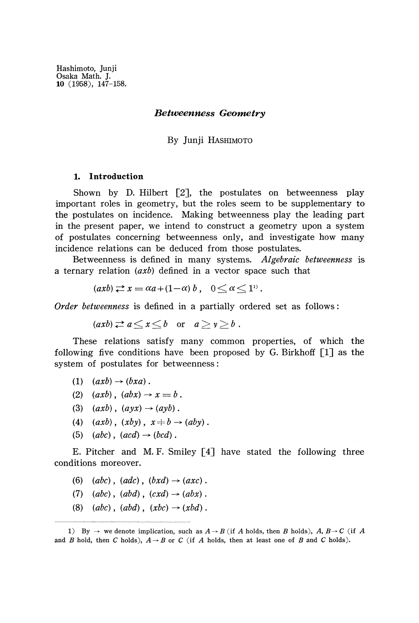## *Betweenness Geometry*

## By Junji HASHIMOTO

## **1. Introduction**

Shown by D. Hilbert  $[2]$ , the postulates on betweenness play important roles in geometry, but the roles seem to be supplementary to the postulates on incidence. Making betweenness play the leading part in the present paper, we intend to construct a geometry upon a system of postulates concerning betweenness only, and investigate how many incidence relations can be deduced from those postulates.

Betweenness is defined in many systems. *Algebraic betweenness* is a ternary relation *(axb)* defined in a vector space such that

$$
(axb) \rightleftarrows x = \alpha a + (1-\alpha) b , \quad 0 \le \alpha \le 1^{1}.
$$

*Order betweenness* is defined in a partially ordered set as follows:

$$
(axb) \Rightarrow a \le x \le b \quad \text{or} \quad a \ge y \ge b \; .
$$

These relations satisfy many common properties, of which the following five conditions have been proposed by G. Birkhoff [1] as the system of postulates for betweenness:

- $(1)$   $(axb) \rightarrow (bxa)$ .
- (2)  $(axb)$ ,  $(abx) \rightarrow x = b$ .
- (3)  $(axb)$ ,  $(ayx) \rightarrow (ayb)$ .
- (4)  $(axb)$ ,  $(xby)$ ,  $x \neq b \rightarrow (aby)$ .
- (5)  $(abc)$ ,  $(acd) \rightarrow (bcd)$ .

E. Pitcher and M. F. Smiley [4] have stated the following three conditions moreover.

- (6)  $(abc)$ ,  $(adc)$ ,  $(bxd) \rightarrow (axc)$ .
- $(7)$   $(abc)$ ,  $(abd)$ ,  $(cxd) \rightarrow (abx)$ .
- (8)  $(abc)$ ,  $(abd)$ ,  $(xbc) \rightarrow (xbd)$ .

<sup>1)</sup> By  $\rightarrow$  we denote implication, such as  $A \rightarrow B$  (if A holds, then B holds),  $A, B \rightarrow C$  (if A and *B* hold, then *C* holds),  $A \rightarrow B$  or *C* (if *A* holds, then at least one of *B* and *C* holds).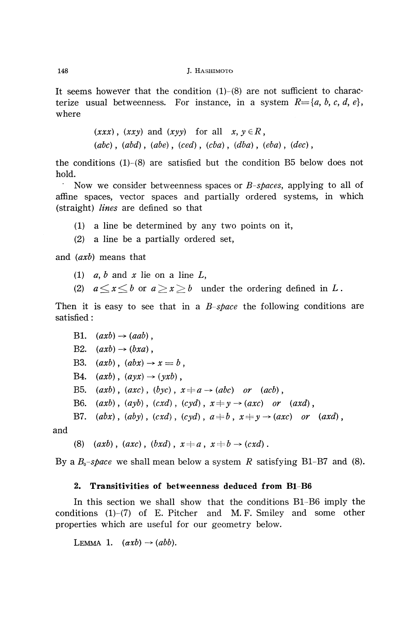It seems however that the condition  $(1)-(8)$  are not sufficient to characterize usual betweenness. For instance, in a system  $R = \{a, b, c, d, e\}$ , where

> $(xxx)$ ,  $(xxy)$  and  $(xyy)$  for all  $x, y \in R$ , *(abc)*, *(abd)*, *(abe)*, *(ced)*, *(cba)*, *(dba)*, *(eba)*, *(dec)*,

the conditions  $(1)-(8)$  are satisfied but the condition B5 below does not hold.

' Now we consider betweenness spaces or *B-spaces,* applying to all of affine spaces, vector spaces and partially ordered systems, in which (straight) *lines* are defined so that

- (1) a line be determined by any two points on it,
- (2) a line be a partially ordered set,

and *(axb)* means that

- (1)  $a, b$  and  $x$  lie on a line  $L$ ,
- (2)  $a \le x \le b$  or  $a \ge x \ge b$  under the ordering defined in L.

Then it is easy to see that in a *B-space* the following conditions are satisfied:

B1.  $(axb) \rightarrow (aab)$ , B2.  $(axb) \rightarrow (bxa)$ , B3.  $(axb)$ ,  $(abx) \rightarrow x = b$ , B4.  $(axb)$ ,  $(ayx) \rightarrow (yxb)$ , B5.  $(axb)$ ,  $(axc)$ ,  $(byc)$ ,  $x \neq a \rightarrow (abc)$  or  $(acb)$ , B6.  $(axb)$ ,  $(ayb)$ ,  $(cxd)$ ,  $(cyd)$ ,  $x \neq y \rightarrow (axc)$  or  $(axd)$ , B7.  $(abx)$ ,  $(aby)$ ,  $(cxd)$ ,  $(cyd)$ ,  $a \neq b$ ,  $x \neq y \rightarrow (axc)$  or  $(axd)$ ,

and

(8)  $(axb)$ ,  $(axc)$ ,  $(bxd)$ ,  $x \neq a$ ,  $x \neq b \rightarrow (cxd)$ .

By a *B<sup>0</sup> -space* we shall mean below a system *R* satisfying B1-B7 and (8).

## **2. Transitivities of betweenness deduced from B1-B6**

In this section we shall show that the conditions B1-B6 imply the conditions (l)-(7) of E. Pitcher and M. F. Smiley and some other properties which are useful for our geometry below.

LEMMA 1.  $(axb) \rightarrow (abb).$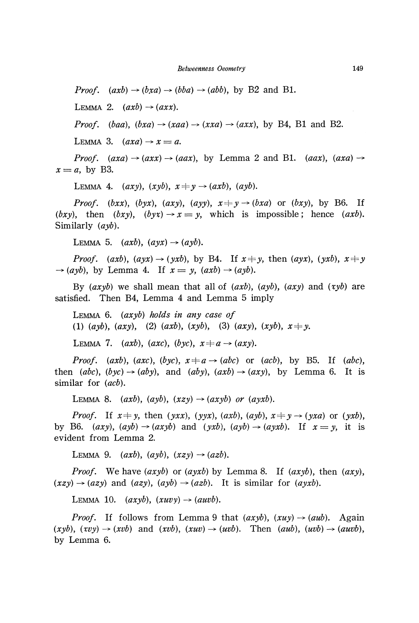*Proof.*  $(axb) \rightarrow (bxa) \rightarrow (bba) \rightarrow (abb)$ , by B2 and B1.

LEMMA 2.  $(axb) \rightarrow (axx)$ .

*Proof.* (baa), (bxa)  $\rightarrow$  (xaa)  $\rightarrow$  (xxa)  $\rightarrow$  (axx), by B4, B1 and B2.

LEMMA 3.  $(axa) \rightarrow x = a$ .

*Proof.*  $(axa) \rightarrow (axx) \rightarrow (aax)$ , by Lemma 2 and B1.  $(aax)$ ,  $(axa) \rightarrow$  $x = a$ , by B3.

LEMMA 4.  $(axy)$ ,  $(xyb)$ ,  $x \neq y \rightarrow (axb)$ ,  $(ayb)$ .

*Proof.* (bxx), (byx), (axy), (ayy),  $x \neq y \rightarrow (bxa)$  or (bxy), by B6. If *(bxy)*, then *(bxy)*,  $(byx) \rightarrow x = y$ , which is impossible; hence *(axb)*. Similarly *(ayb).*

LEMMA 5.  $(axb)$ ,  $(ayx) \rightarrow (ayb)$ .

*Proof.* (axb), (ayx)  $\rightarrow$  (yxb), by B4. If  $x \neq y$ , then (ayx), (yxb),  $x \neq y$  $\rightarrow (ayb)$ , by Lemma 4. If  $x = y$ ,  $(axb) \rightarrow (ayb)$ .

By (*axyb*) we shall mean that all of (*axb*), (*ayb*), (*axy*) and (*xyb*) are satisfied. Then B4, Lemma 4 and Lemma 5 imply

LEMMA 6. *(axyb) holds in any case of* (1) (ayb), (axy), (2) (axb), (xyb), (3) (axy), (xyb),  $x \neq y$ .

LEMMA 7.  $(axb)$ ,  $(axc)$ ,  $(byc)$ ,  $x \neq a \rightarrow (axy)$ .

*Proof.* (axb), (axc), (byc),  $x \neq a \rightarrow (abc)$  or (acb), by B5. If (abc), then (abc),  $(byc) \rightarrow (aby)$ , and  $(aby)$ ,  $(axb) \rightarrow (axy)$ , by Lemma 6. It is similar for *(acb).*

LEMMA 8.  $(axb)$ ,  $(ayb)$ ,  $(xzy) \rightarrow (axyb)$  or  $(ayxb)$ .

*Proof.* If  $x \neq y$ , then  $(yxx)$ ,  $(yyx)$ ,  $(axb)$ ,  $(ayb)$ ,  $x \neq y \rightarrow (yxa)$  or  $(yxb)$ , by B6.  $(axy)$ ,  $(ayb) \rightarrow (axyb)$  and  $(yxb)$ ,  $(ayb) \rightarrow (ayxb)$ . If  $x = y$ , it is evident from Lemma 2.

LEMMA 9.  $(axb)$ ,  $(ayb)$ ,  $(xzy) \rightarrow (azb)$ .

*Proof.* We have  $(axyb)$  or  $(ayxb)$  by Lemma 8. If  $(axyb)$ , then  $(axy)$ ,  $(xzy) \rightarrow (azy)$  and  $(azy)$ ,  $(ayb) \rightarrow (azb)$ . It is similar for  $(ayxb)$ .

LEMMA 10.  $(axyb)$ ,  $(xuvy) \rightarrow (auvb)$ .

*Proof.* If follows from Lemma 9 that  $(axyb)$ ,  $(xuy) \rightarrow (aub)$ . Again  $(xyb), (xvy) \rightarrow (xvb)$  and  $(xvb), (xuv) \rightarrow (uvb)$ . Then  $(aub), (uvb) \rightarrow (auvb)$ , by Lemma 6.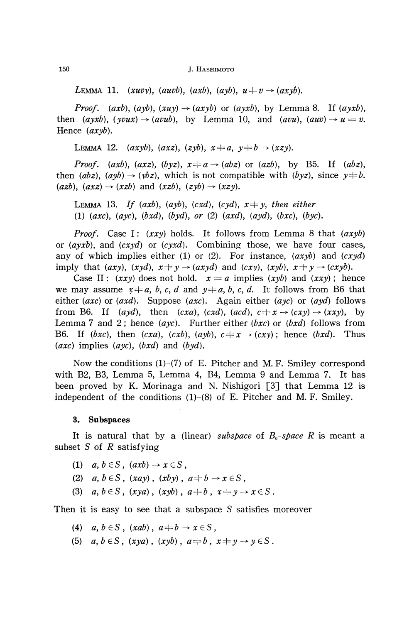150 **J. HASHIMOTO** 

LEMMA 11. (xuvy), (auvb), (axb), (ayb),  $u \neq v \rightarrow (axyb)$ .

*Proof.* (axb), (ayb), (xuy)  $\rightarrow$  (axyb) or (ayxb), by Lemma 8. If (ayxb), then  $(ayxb)$ ,  $(yvux) \rightarrow (avub)$ , by Lemma 10, and  $(avu)$ ,  $(auv) \rightarrow u = v$ . Hence *(axyb).*

LEMMA 12.  $(axyb)$ ,  $(axz)$ ,  $(zyb)$ ,  $x \neq a$ ,  $y \neq b \rightarrow (xzy)$ .

*Proof.* (axb), (axz), (byz),  $x \neq a \rightarrow (abz)$  or (azb), by B5. If (abz), then  $(abz)$ ,  $(ayb) \rightarrow (ybz)$ , which is not compatible with  $(byz)$ , since  $y \neq b$ .  $(azb)$ ,  $(axz) \rightarrow (xzb)$  and  $(xzb)$ ,  $(zyb) \rightarrow (xzy)$ .

LEMMA 13. If  $(axb)$ ,  $(ayb)$ ,  $(cxd)$ ,  $(cyd)$ ,  $x \neq y$ , then either (1) (axc), (ayc),  $(bxd)$ ,  $(byd)$ , or (2) (axd), (ayd), (bxc), (byc).

*Proof.* Case I: *(xxy)* holds. It follows from Lemma 8 that *(axyb)* or *(ayxb),* and *(cxyd)* or *(cyxd).* Combining those, we have four cases, any of which implies either (1) or (2). For instance, *(axyb)* and *(cxyd)* imply that  $(axy)$ ,  $(xyd)$ ,  $x \neq y \rightarrow (axyd)$  and  $(cxy)$ ,  $(xyb)$ ,  $x \neq y \rightarrow (cxyb)$ .

Case II:  $(xxy)$  does not hold.  $x = a$  implies  $(xyb)$  and  $(xxy)$ ; hence we may assume  $x \neq a$ , b, c, d and  $y \neq a$ , b, c, d. It follows from B6 that either *(axe)* or *(axd).* Suppose *(axe).* Again either *(aye)* or *(ayd)* follows from B6. If (ayd), then  $(cxa)$ ,  $(cxd)$ ,  $(acd)$ ,  $c \neq x \rightarrow (cxy) \rightarrow (xxy)$ , by Lemma 7 and 2 hence *(aye).* Further either *(bxc)* or *(bxd)* follows from B6. If (bxc), then  $(cxa)$ ,  $(cxb)$ ,  $(ayb)$ ,  $c \neq x \rightarrow (cxy)$ ; hence  $(bxd)$ . Thus *(axe)* implies *(aye), (bxd)* and *(byd).*

Now the conditions  $(1)-(7)$  of E. Pitcher and M.F. Smiley correspond with B2, B3, Lemma 5, Lemma 4, B4, Lemma 9 and Lemma 7. It has been proved by K. Morinaga and N. Nishigori [3] that Lemma 12 is independent of the conditions  $(1)-(8)$  of E. Pitcher and M. F. Smiley.

### **3. Subspaces**

It is natural that by a (linear) subspace of  $B_0$ -space R is meant a subset S of *R* satisfying

- (1)  $a, b \in S$ ,  $(axb) \rightarrow x \in S$ ,
- *(2) a, b*  $\in$ *S*, *(xay)*, *(xby)*,  $a \neq b \rightarrow x \in S$ ,
- (3)  $a, b \in S$ ,  $(xya)$ ,  $(xyb)$ ,  $a \neq b$ ,  $x \neq y \rightarrow x \in S$ .

Then it is easy to see that a subspace S satisfies moreover

- (4)  $a, b \in S$ ,  $(xab)$ ,  $a+b \rightarrow x \in S$ ,
- (5)  $a, b \in S$ ,  $(xya)$ ,  $(xyb)$ ,  $a \neq b$ ,  $x \neq y \rightarrow y \in S$ .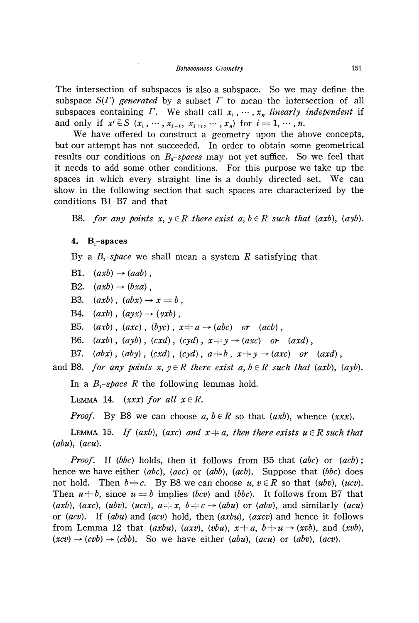The intersection of subspaces is also a subspace. So we may define the subspace *S(Γ) generated* by a subset *Γ* to mean the intersection of all subspaces containing *Γ*. We shall call  $x_1, \dots, x_n$  *linearly independent* if and only if  $x^{i} \in S$  ( $x_{1}$ ,  $\dots$ ,  $x_{i-1}$ ,  $x_{i+1}$ ,  $\dots$ ,  $x_{n}$ ) for  $i = 1, \dots, n$ .

We have offered to construct a geometry upon the above concepts, but our attempt has not succeeded. In order to obtain some geometrical results our conditions on *B<sup>0</sup> -spaces* may not yet suffice. So we feel that it needs to add some other conditions. For this purpose we take up the spaces in which every straight line is a doubly directed set. We can show in the following section that such spaces are characterized by the conditions B1-B7 and that

B8. for any points  $x, y \in R$  there exist  $a, b \in R$  such that (axb), (ayb).

#### **4. Bj-spaces**

By a *B<sup>x</sup> -space* we shall mean a system *R* satisfying that

B1.  $(axb) \rightarrow (aab)$ ,

B2.  $(axb) \rightarrow (bxa)$ ,

B3.  $(axb)$ ,  $(abx) \rightarrow x = b$ ,

B4.  $(axb)$ ,  $(ayx) \rightarrow (yxb)$ ,

B5.  $(axb)$ ,  $(axc)$ ,  $(byc)$ ,  $x \neq a \rightarrow (abc)$  or  $(acb)$ ,

B6.  $(axb)$ ,  $(ayb)$ ,  $(cxd)$ ,  $(cyd)$ ,  $x \neq y \rightarrow (axc)$  or  $(axd)$ ,

B7.  $(abx)$ ,  $(aby)$ ,  $(cxd)$ ,  $(cyd)$ ,  $a \neq b$ ,  $x \neq y \rightarrow (axc)$  or  $(axd)$ ,

and B8. *for any points x*,  $y \in R$  there exist  $a, b \in R$  such that (axb), (ayb).

In a  $B_1$ -space R the following lemmas hold.

LEMMA 14.  $(xxx)$  for all  $x \in R$ .

*Proof.* By B8 we can choose  $a, b \in R$  so that  $(axb)$ , whence  $(xxx)$ .

LEMMA 15. *If (axb), (axc) and*  $x \neq a$ *, then there exists u*  $\in$ *R such that (abu), (acu).*

*Proof.* If (bbc) holds, then it follows from B5 that (abc) or (acb); hence we have either *(abc), (ace)* or *(abb), (acb).* Suppose that *(bbc)* does not hold. Then  $b \neq c$ . By B8 we can choose  $u, v \in R$  so that *(ubv), (ucv)*. Then  $u \neq b$ , since  $u = b$  implies *(bcv)* and *(bbc)*. It follows from B7 that (*axb*), (*axc*), (*ubv*), (*ucv*),  $a \neq x$ ,  $b \neq c \rightarrow (abu)$  or (*abv*), and similarly (*acu*) or *(acv).* If *(abu)* and *(acv)* hold, then *(axbu), (axev)* and hence it follows from Lemma 12 that (*axbu*), (*axv*), (*vbu*),  $x \neq a$ ,  $b \neq u \rightarrow (xvb)$ , and (*xvb*),  $(xcv) \rightarrow (cvb) \rightarrow (cbb)$ . So we have either  $(abu)$ ,  $(acu)$  or  $(abv)$ ,  $(acv)$ .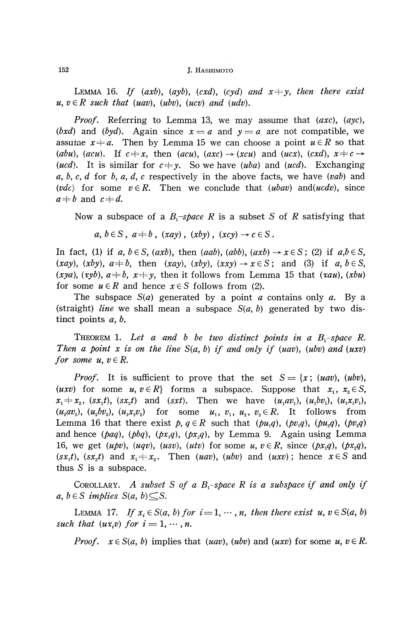LEMMA 16. If (axb), (ayb), (cxd), (cyd) and  $x \neq y$ , then there exist  $u, v \in R$  such that (uav), (ubv), (ucv) and (udv).

*Proof.* Referring to Lemma 13, we may assume that *(axe), {aye), (bxd)* and *(byd)*. Again since  $x = a$  and  $y = a$  are not compatible, we assume  $x \neq a$ . Then by Lemma 15 we can choose a point  $u \in R$  so that *(abu), (acu).* If  $c \neq x$ , then  $(axu)$ ,  $(axc) \rightarrow (xcu)$  and  $(ucx)$ ,  $(cxd)$ ,  $x \neq c \rightarrow$ *(ucd)*. It is similar for  $c \neq y$ . So we have *(uba)* and *(ucd)*. Exchanging *a, b, c, d* for *b, a, d, c* respectively in the above facts, we have *(vab)* and *(vdc)* for some  $v \in R$ . Then we conclude that *(ubav)* and *(ucdv)*, since  $a \neq b$  and  $c \neq d$ .

Now a subspace of a  $B_1$ -space R is a subset S of R satisfying that

 $a, b \in S$ ,  $a \neq b$ ,  $(xay)$ ,  $(xby)$ ,  $(xcy) \rightarrow c \in S$ .

In fact, (1) if  $a, b \in S$ ,  $(axb)$ , then  $(aab)$ ,  $(abb)$ ,  $(axb) \rightarrow x \in S$ ; (2) if  $a,b \in S$ ,  $(xay)$ ,  $(xby)$ ,  $a \neq b$ , then  $(xay)$ ,  $(xby)$ ,  $(xxy) \rightarrow x \in S$ ; and (3) if a,  $b \in S$ ,  $(xya)$ ,  $(xyb)$ ,  $a \neq b$ ,  $x \neq y$ , then it follows from Lemma 15 that  $(xau)$ ,  $(xbu)$ for some  $u \in R$  and hence  $x \in S$  follows from (2).

The subspace *S(a)* generated by a point *a* contains only *a.* By a (straight) *line* we shall mean a subspace  $S(a, b)$  generated by two distinct points *a, b.*

THEOREM 1. Let a and b be two distinct points in a B<sub>1</sub>-space R. *Then a point x is on the line S(a, b) if and only if (uav), (ubv) and (uxv) for some u,*  $v \in R$ *.* 

*Proof.* It is sufficient to prove that the set  $S = \{x; (uav), (ubv),$ *(uxv)* for some  $u, v \in R$  forms a subspace. Suppose that  $x_1, x_2 \in S$ ,  $x_1 \neq x_2$ ,  $(sx_1t)$ ,  $(sx_2t)$  and  $(sxt)$ . Then we have  $(u_1av_1)$ ,  $(u_1bv_1)$ ,  $(u_1x_1v_1)$ ,  $(u_2av_2)$ ,  $(u_2bv_2)$ ,  $(u_2x_2v_2)$  for some  $u_1, v_1, u_2, v_2 \in R$ . It follows from Lemma 16 that there exist  $p, q \in R$  such that  $(pu_1q), (pv_1q), (pu_2q), (pv_2q)$ and hence *(paq), (pbq), (px<sup>x</sup> q), (px<sup>2</sup> q),* by Lemma 9. Again using Lemma 16, we get  $(upv)$ ,  $(uqv)$ ,  $(usv)$ ,  $(utv)$  for some  $u, v \in R$ , since  $(px_1q)$ ,  $(px_2q)$ ,  $(sx_1t)$ ,  $(sx_2t)$  and  $x_1 \neq x_2$ . Then *(uav)*, *(ubv)* and *(uxv)*; hence  $x \in S$  and thus S is a subspace.

COROLLARY. A subset S of a  $B_1$ -space R is a subspace if and only if  $a, b \in S$  *implies*  $S(a, b) \subseteq S$ .

LEMMA 17. If  $x_i \in S(a, b)$  for  $i = 1, \dots, n$ , then there exist  $u, v \in S(a, b)$ *such that*  $(ux_iv)$  *for*  $i = 1, \dots, n$ *.* 

*Proof.*  $x \in S(a, b)$  implies that  $(uav)$ ,  $(ubv)$  and  $(uxv)$  for some  $u, v \in R$ .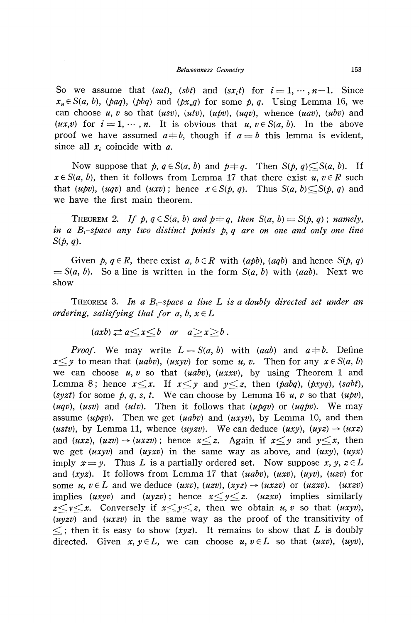So we assume that *(sat), (sbt)* and  $(sx_it)$  for  $i=1, \dots, n-1$ . Since  $x_n \in S(a, b)$ , (paq), (pbq) and (px<sub>n</sub>q) for some p, q. Using Lemma 16, we can choose *u, v* so that *(usv)} (utv), (upv), (uqv),* whence *(uav), (ubv)* and  $(ux_iv)$  for  $i = 1, \dots, n$ . It is obvious that  $u, v \in S(a, b)$ . In the above proof we have assumed  $a \neq b$ , though if  $a = b$  this lemma is evident, since all *x<sup>g</sup>* coincide with *a.*

Now suppose that  $p, q \in S(a, b)$  and  $p \neq q$ . Then  $S(p, q) \subseteq S(a, b)$ . If  $x \in S(a, b)$ , then it follows from Lemma 17 that there exist  $u, v \in R$  such that  $(u\not p v)$ ,  $(uq v)$  and  $(u x v)$ ; hence  $x \in S(p, q)$ . Thus  $S(q, b) \subset S(p, q)$  and we have the first main theorem.

THEOREM 2. If  $p, q \in S(a, b)$  and  $p+q$ , then  $S(a, b) = S(p, q)$ ; namely, *in a B -space any two distinct points p, q are on one and only one line S(p, q).*

Given  $p, q \in R$ , there exist  $a, b \in R$  with  $(apb)$ ,  $(aqb)$  and hence  $S(p, q)$  $= S(a, b)$ . So a line is written in the form  $S(a, b)$  with *(aab)*. Next we show

THEOREM 3. *In a B<sup>x</sup> -space a line L is a doubly directed set under an ordering, satisfying that for a, b,*  $x \in L$ 

 $(axb) \rightleftarrows a \leq x \leq b$  or  $a \geq x \geq b$ .

*Proof.* We may write  $L = S(a, b)$  with (*aab*) and  $a \neq b$ . Define  $x \leq y$  to mean that *(uabv), (uxyv)* for some *u, v.* Then for any  $x \in S(a, b)$ we can choose *u, υ* so that *(uabv), (uxxυ),* by using Theorem 1 and Lemma 8; hence  $x \leq x$ . If  $x \leq y$  and  $y \leq z$ , then *(pabq), (pxyq), (sabt)*, *(syzt)* for some  $p, q, s, t$ . We can choose by Lemma 16 u, v so that  $(upv)$ , *(uqυ), (usυ)* and *(utυ).* Then it follows that *(upqυ)* or *(uqpυ).* We may assume ( $u\bar{p}qv$ ). Then we get (*uabv*) and ( $uxyv$ ), by Lemma 10, and then *(ustv),* by Lemma 11, whence *(uyzv)*. We can deduce *(uxy),*  $(uyz) \rightarrow (uxz)$ and (*uxz*), (*uzv*)  $\rightarrow$  (*uxzv*); hence  $x \leq z$ . Again if  $x \leq y$  and  $y \leq x$ , then we get *(uxyυ)* and *(uyxυ)* in the same way as above, and *(uxy), (uyx)* imply  $x = y$ . Thus L is a partially ordered set. Now suppose x, y,  $z \in L$ and (xyz). It follows from Lemma 17 that (uabv), (uxv), (uyv), (uzv) for some  $u, v \in L$  and we deduce *(uxv), (uzv), (xyz)*  $\rightarrow$  *(uxzv)* or *(uzxv). (uxzv)* implies (*uxyv*) and (*uyzv*); hence  $x \leq y \leq z$ . (*uzxv*) implies similarly  $z \leq y \leq x$ . Conversely if  $x \leq y \leq z$ , then we obtain *u*, *v* so that (*uxyv*),  $(uyzv)$  and  $(uxzy)$  in the same way as the proof of the transitivity of  $\leq$ ; then it is easy to show (*xyz*). It remains to show that L is doubly directed. Given  $x, y \in L$ , we can choose  $u, v \in L$  so that  $(uxv)$ ,  $(uyv)$ ,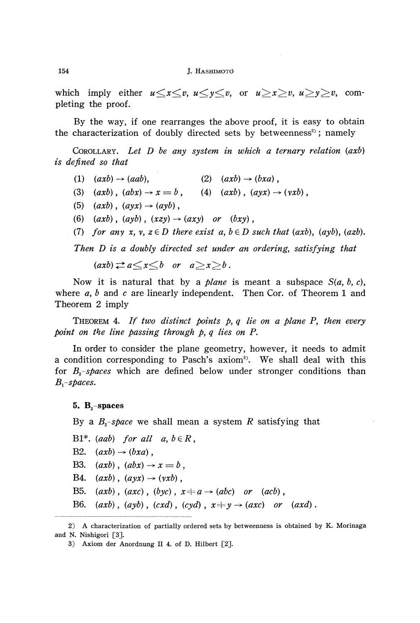which imply either  $u \le x \le v$ ,  $u \le y \le v$ , or  $u \ge x \ge v$ ,  $u \ge y \ge v$ , completing the proof.

By the way, if one rearranges the above proof, it is easy to obtain the characterization of doubly directed sets by betweenness<sup>2</sup>; namely

COROLLARY. *Let D be any system in which a ternary relation (axb) is defined so that*

- $(1)$   $(axb) \rightarrow (aab)$ ,  $(2)$   $(axb) \rightarrow (bxa)$ ,
- (3)  $(axb)$ ,  $(abx) \rightarrow x = b$ , (4)  $(axb)$ ,  $(ayx) \rightarrow (yxb)$ ,
- (5)  $(axb)$ ,  $(ayx) \rightarrow (ayb)$ ,
- (6)  $(axb)$ ,  $(ayb)$ ,  $(xzy) \rightarrow (axy)$  or  $(bxy)$ ,
- (7) for any  $x, y, z \in D$  there exist  $a, b \in D$  such that (axb), (ayb), (azb).

*Then D is a doubly directed set under an ordering, satisfying that*

 $(axb) \rightleftarrows a \rightleftarrows x \rightleftarrows b$  or  $a \rightleftarrows x \rightarrows b$ .

Now it is natural that by a *plane* is meant a subspace *S(a, b, c),* where  $a, b$  and  $c$  are linearly independent. Then Cor. of Theorem 1 and Theorem 2 imply

THEOREM 4. If two distinct points p, q lie on a plane P, then every *point on the line passing through p, q lies on P.*

In order to consider the plane geometry, however, it needs to admit a condition corresponding to Pasch's axiom<sup>3</sup>. We shall deal with this for *B<sup>2</sup> -spaces* which are defined below under stronger conditions than *B^-spaces.*

**5. B<sup>2</sup> -spaces**

By a  $B_z$ -space we shall mean a system  $R$  satisfying that

B1\*. *(aab)* for all  $a, b \in R$ , B2.  $(axb) \rightarrow (bxa)$ , B3.  $(axb)$ ,  $(abx) \rightarrow x = b$ , B4.  $(axb)$ ,  $(ayx) \rightarrow (yxb)$ , B5.  $(axb)$ ,  $(axc)$ ,  $(byc)$ ,  $x \neq a \rightarrow (abc)$  or  $(acb)$ , B6.  $(axb)$ ,  $(ayb)$ ,  $(cxd)$ ,  $(cyd)$ ,  $x \neq y \rightarrow (axc)$  or  $(axd)$ .

<sup>2)</sup> A characterization of partially ordered sets by betweenness is obtained by K. Morinaga and N. Nishigori [3].

<sup>3)</sup> Axiom der Anordnung II 4. of D. Hilbert [2].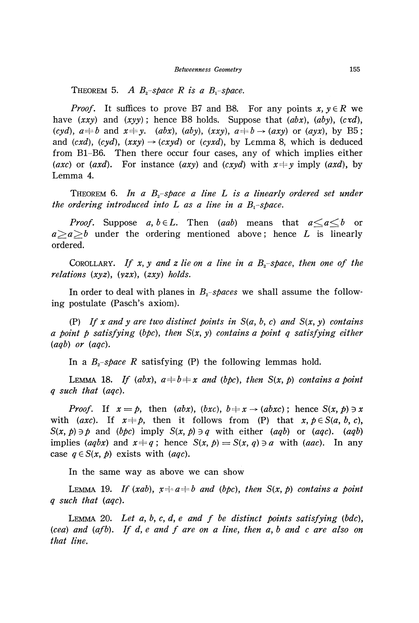THEOREM 5. A  $B_2$ -space R is a  $B_1$ -space.

*Proof.* It suffices to prove B7 and B8. For any points  $x, y \in R$  we have  $(xxy)$  and  $(xyy)$ ; hence B8 holds. Suppose that  $(abx)$ ,  $(aby)$ ,  $(cxd)$ ,  $(cyd)$ ,  $a \neq b$  and  $x \neq y$ . *(abx), (aby), (xxy),*  $a \neq b \rightarrow (axy)$  or *(ayx),* by B5; and  $(cxd)$ ,  $(cyd)$ ,  $(xxy) \rightarrow (cxyd)$  or  $(cyxd)$ , by Lemma 8, which is deduced from B1-B6. Then there occur four cases, any of which implies either *(axc)* or *(axd)*. For instance *(axy)* and *(cxyd)* with  $x \neq y$  imply *(axd)*, by Lemma 4.

THEOREM 6. *In a B<sup>2</sup> -space a line L is a linearly ordered set under the ordering introduced into L as a line in a B*<sub>*x</sub>-space.*</sub>

*Proof.* Suppose  $a, b \in L$ . Then (*aab*) means that  $a \le a \le b$  or  $a > a > b$  under the ordering mentioned above; hence *L* is linearly ordered.

COROLLARY. *If x, y and z lie on a line in a B<sup>2</sup> -space, then one of the relations {xyz), {yzx), {zxy) holds.*

In order to deal with planes in  $B_z$ -spaces we shall assume the follow ing postulate (Pasch's axiom).

(P) If x and y are two distinct points in  $S(a, b, c)$  and  $S(x, y)$  contains *a point p satisfying {bpc), then S{x, y) contains a point q satisfying either {aqb) or (aqc).*

In a  $B_2$ -space R satisfying (P) the following lemmas hold.

LEMMA 18. If (abx),  $a \neq b \neq x$  and (bpc), then  $S(x, p)$  contains a point *q such that {aqc).*

*Proof.* If  $x = p$ , then  $(abx)$ ,  $(bxc)$ ,  $b \neq x \rightarrow (abxc)$ ; hence  $S(x, p) \ni x$ with (*axc*). If  $x \neq p$ , then it follows from (P) that  $x, p \in S(a, b, c)$ , *S* $(x, p) \ni p$  and *(bpc)* imply *S* $(x, p) \ni q$  with either *(aqb)* or *(aqc). (aqb)* implies (*aqbx*) and  $x \neq q$ ; hence  $S(x, p) = S(x, q) \ni a$  with *(aac)*. In any case  $q \in S(x, p)$  exists with *(aqc)*.

In the same way as above we can show

LEMMA 19. If  $(xab)$ ,  $x \neq a \neq b$  and (bpc), then  $S(x, p)$  contains a point *q such that {aqc).*

LEMMA 20. *Let a, b, c, d, e and f be distinct points satisfying {bde), (cea) and {afb). If d, e and f are on a line, then a, b and c are also on that line.*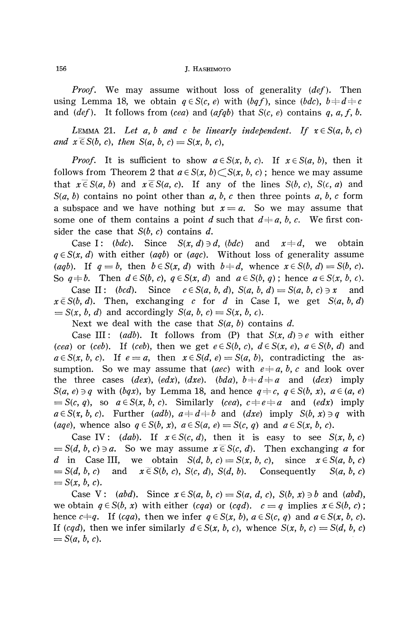*Proof.* We may assume without loss of generality *(def).* Then using Lemma 18, we obtain  $q \in S(c, e)$  with  $(bqf)$ , since  $(bdc)$ ,  $b \neq d \neq c$ and *(def)*. It follows from *(cea)* and *(afqb)* that  $S(c, e)$  contains q, a, f, b.

LEMMA 21. Let a, b and c be linearly independent. If  $x \in S(a, b, c)$  $and x \in S(b, c), then S(a, b, c) = S(x, b, c),$ 

*Proof.* It is sufficient to show  $a \in S(x, b, c)$ . If  $x \in S(a, b)$ , then it follows from Theorem 2 that  $a \in S(x, b) \subset S(x, b, c)$ ; hence we may assume that  $x \in S(a, b)$  and  $x \in S(a, c)$ . If any of the lines  $S(b, c)$ *,*  $S(c, a)$  and *S(a, b)* contains no point other than *a, b, c* then three points *a, b, c* form a subspace and we have nothing but  $x = a$ . So we may assume that some one of them contains a point *d* such that  $d \neq a, b, c$ . We first con sider the case that *S(b, c)* contains *d.*

Case I: (*bdc*). Since  $S(x, d) \ni d$ *, (bdc)* and  $x \neq d$ , we obtain  $q \in S(x, d)$  with either *(aqb)* or *(aqc)*. Without loss of generality assume (*aqb*). If  $q = b$ , then  $b \in S(x, d)$  with  $b \neq d$ , whence  $x \in S(b, d) = S(b, c)$ . So  $q \neq b$ . Then  $d \in S(b, c)$ ,  $q \in S(x, d)$  and  $a \in S(b, q)$ ; hence  $a \in S(x, b, c)$ .

Case II:  $(bcd)$ . Since  $c \in S(a, b, d)$ ,  $S(a, b, d) = S(a, b, c) \ni x$  and  $x \in S(b, d)$ . Then, exchanging *c* for *d* in Case I, we get  $S(a, b, d)$  $= S(x, b, d)$  and accordingly  $S(a, b, c) = S(x, b, c)$ .

Next we deal with the case that  $S(a, b)$  contains  $d$ .

Case III: (*adb*). It follows from (P) that  $S(x, d) \ni e$  with either *(cea)* or *(ceb)*. If *(ceb)*, then we get  $e \in S(b, c)$ ,  $d \in S(x, e)$ ,  $a \in S(b, d)$  and  $a \in S(x, b, c)$ . If  $e = a$ , then  $x \in S(d, e) = S(a, b)$ , contradicting the assumption. So we may assume that (*aec*) with  $e \neq a$ , b, c and look over the three cases  $(dex)$ ,  $(edx)$ ,  $(dxe)$ .  $(bda)$ ,  $b+d+a$  and  $(dex)$  imply *S(a, e)*  $\exists q$  with (*bqx)*, by Lemma 18, and hence  $q \neq c$ ,  $q \in S(b, x)$ ,  $a \in (a, e)$  $f(x, q)$ , so  $a \in S(x, b, c)$ . Similarly *(cea)*,  $c \neq e \neq a$  and *(edx)* imply  $a \in S(x, b, c)$ . Further (*adb*),  $a \neq d \neq b$  and (*dxe*) imply  $S(b, x) \ni q$  with  $(aqe)$ , whence also  $q \in S(b, x)$ ,  $a \in S(a, e) = S(c, q)$  and  $a \in S(x, b, c)$ .

Case IV:  $(dab)$ . If  $x \in S(c, d)$ , then it is easy to see  $S(x, b, c)$  $= S(d, b, c) \ni a$ . So we may assume  $x \in S(c, d)$ . Then exchanging *a* for *d* in Case III, we obtain  $S(d, b, c) = S(x, b, c)$ , since  $x \in S(a, b, c)$  $= S(d, b, c)$ *c*) and  $x \in S(b, c)$ ,  $S(c, d)$ ,  $S(d, d)$ *<u>Consequently</u>*  $b, c)$  $= S(x, b, c).$ 

Case V: *(abd)*. Since  $x \in S(a, b, c) = S(a, d, c)$ ,  $S(b, x) \ni b$  and *(abd)*, we obtain  $q \in S(b, x)$  with either  $(cqa)$  or  $(cqd)$ .  $c = q$  implies  $x \in S(b, c)$ hence  $c \neq q$ . If (cqa), then we infer  $q \in S(x, b)$ ,  $a \in S(c, q)$  and  $a \in S(x, b, c)$ . If  $(cqd)$ , then we infer similarly  $d \in S(x, b, c)$ , whence  $S(x, b, c) = S(d, b, c)$  $= S(a, b, c).$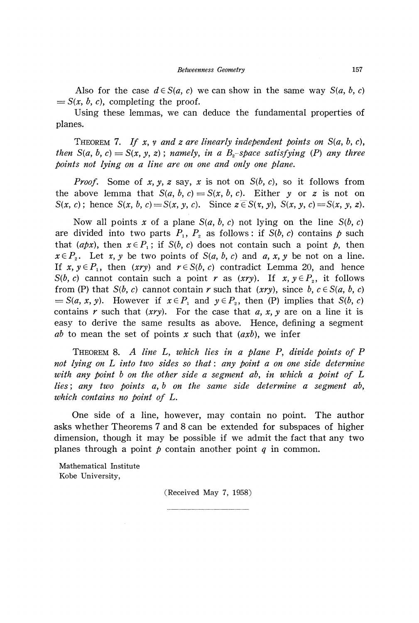Also for the case  $d \in S(a, c)$  we can show in the same way  $S(a, b, c)$  $= S(x, b, c)$ , completing the proof.

Using these lemmas, we can deduce the fundamental properties of planes.

THEOREM 7. If x, y and z are linearly independent points on  $S(a, b, c)$ , *then*  $S(a, b, c) = S(x, y, z)$ ; namely, in a  $B<sub>2</sub>$ -space satisfying (P) any three *points not lying on a line are on one and only one plane.*

*Proof.* Some of *x, y, z* say, *x* is not on *S(b, c),* so it follows from the above lemma that  $S(a, b, c) = S(x, b, c)$ . Either y or z is not on  $S(x, c)$ ; hence  $S(x, b, c) = S(x, y, c)$ . Since  $z \in S(x, y)$ ,  $S(x, y, c) = S(x, y, z)$ .

Now all points x of a plane  $S(a, b, c)$  not lying on the line  $S(b, c)$ are divided into two parts  $P_1$ ,  $P_2$  as follows: if  $S(b, c)$  contains  $p$  such that (*apx*), then  $x \in P$ <sub>1</sub>; if S(*b*, *c*) does not contain such a point *p*, then  $x \in P_2$ . Let *x*, *y* be two points of *S(a, b, c)* and *a, x, y* be not on a line. If  $x, y \in P_1$ , then  $(xry)$  and  $r \in S(b, c)$  contradict Lemma 20, and hence *S(b, c)* cannot contain such a point *r* as (*xry*). If  $x, y \in P_2$ , it follows from (P) that  $S(b, c)$  cannot contain r such that  $(xry)$ , since  $b, c \in S(a, b, c)$  $= S(a, x, y)$ . However if  $x \in P_1$  and  $y \in P_2$ , then (P) implies that  $S(b, c)$ contains r such that  $(xry)$ . For the case that a, x, y are on a line it is easy to derive the same results as above. Hence, defining a segment *ab* to mean the set of points x such that  $(axb)$ , we infer

THEOREM 8. *A line* L, *which lies in a plane Py divide points of P not lying on L into two sides so that*: *any point a on one side determine with any point b on the other side a segment aby in which a point of L lies;* any two points a, b on the same side determine a segment ab, *which contains no point of L.*

One side of a line, however, may contain no point. The author asks whether Theorems 7 and 8 can be extended for subspaces of higher dimension, though it may be possible if we admit the fact that any two planes through a point  $p$  contain another point  $q$  in common.

Mathematical Institute Kobe University,

(Received May 7, 1958)